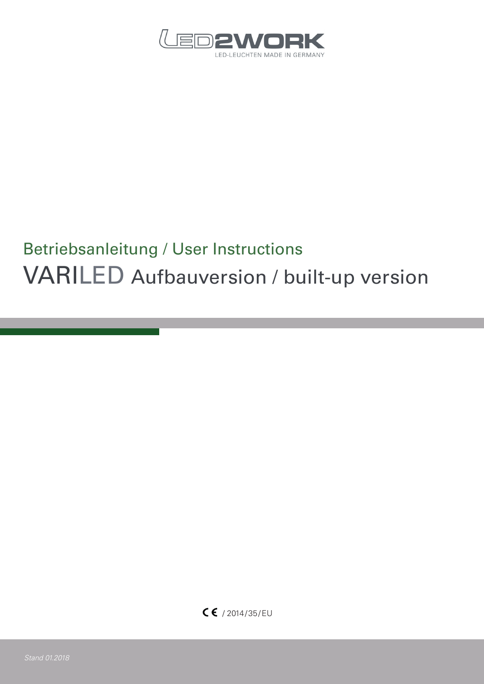

# Betriebsanleitung / User Instructions VARILED Aufbauversion / built-up version

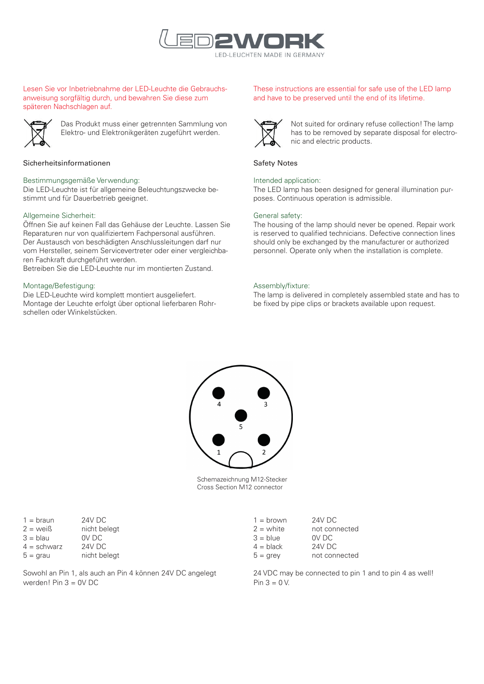

# Lesen Sie vor Inbetriebnahme der LED-Leuchte die Gebrauchsanweisung sorgfältig durch, und bewahren Sie diese zum späteren Nachschlagen auf.



Das Produkt muss einer getrennten Sammlung von Elektro- und Elektronikgeräten zugeführt werden.

## Sicherheitsinformationen

#### Bestimmungsgemäße Verwendung:

Die LED-Leuchte ist für allgemeine Beleuchtungszwecke bestimmt und für Dauerbetrieb geeignet.

## Allgemeine Sicherheit:

Öffnen Sie auf keinen Fall das Gehäuse der Leuchte. Lassen Sie Reparaturen nur von qualifiziertem Fachpersonal ausführen. Der Austausch von beschädigten Anschlussleitungen darf nur vom Hersteller, seinem Servicevertreter oder einer vergleichbaren Fachkraft durchgeführt werden.

Betreiben Sie die LED-Leuchte nur im montierten Zustand.

#### Montage/Befestigung:

Die LED-Leuchte wird komplett montiert ausgeliefert. Montage der Leuchte erfolgt über optional lieferbaren Rohrschellen oder Winkelstücken.

# These instructions are essential for safe use of the LED lamp and have to be preserved until the end of its lifetime.



Not suited for ordinary refuse collection! The lamp has to be removed by separate disposal for electronic and electric products.

#### Safety Notes

## Intended application:

The LED lamp has been designed for general illumination purposes. Continuous operation is admissible.

#### General safety:

The housing of the lamp should never be opened. Repair work is reserved to qualified technicians. Defective connection lines should only be exchanged by the manufacturer or authorized personnel. Operate only when the installation is complete.

## Assembly/fixture:

The lamp is delivered in completely assembled state and has to be fixed by pipe clips or brackets available upon request.



Schemazeichnung M12-Stecker Cross Section M12 connector

| $1 = \text{braun}$  | <b>24V DC</b> |
|---------------------|---------------|
| $2 = \text{weight}$ | nicht belegt  |
| $3 =$ blau          | OV DC         |
| $4 =$ schwarz       | 24V DC        |
| $5 =$ grau          | nicht belegt  |

Sowohl an Pin 1, als auch an Pin 4 können 24V DC angelegt werden! Pin 3 = 0V DC

| $1 = brown$        | 24V DC        |
|--------------------|---------------|
| $2 =$ white        | not connected |
| $3 = blue$         | OV DC         |
| $4 = \text{black}$ | <b>24V DC</b> |
| $5 =$ grey         | not connected |
|                    |               |

24 VDC may be connected to pin 1 and to pin 4 as well! Pin  $3 = 0$  V.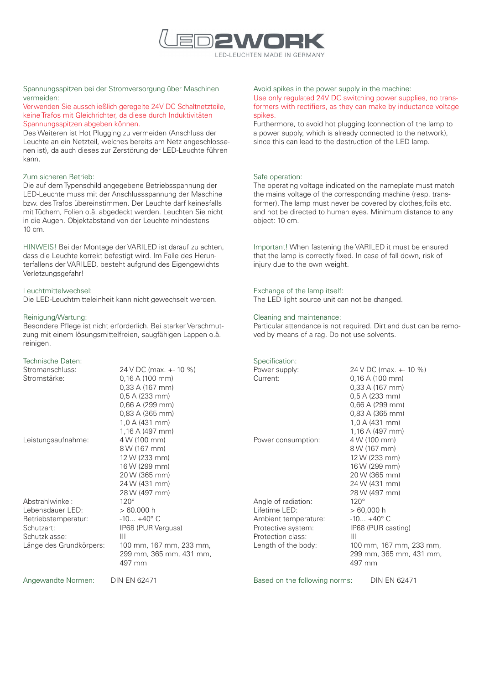

# Spannungsspitzen bei der Stromversorgung über Maschinen vermeiden:

## Verwenden Sie ausschließlich geregelte 24V DC Schaltnetzteile, keine Trafos mit Gleichrichter, da diese durch Induktivitäten Spannungsspitzen abgeben können.

Des Weiteren ist Hot Plugging zu vermeiden (Anschluss der Leuchte an ein Netzteil, welches bereits am Netz angeschlossenen ist), da auch dieses zur Zerstörung der LED-Leuchte führen kann.

## Zum sicheren Betrieb:

Die auf dem Typenschild angegebene Betriebsspannung der LED-Leuchte muss mit der Anschlussspannung der Maschine bzw. des Trafos übereinstimmen. Der Leuchte darf keinesfalls mit Tüchern, Folien o.ä. abgedeckt werden. Leuchten Sie nicht in die Augen. Objektabstand von der Leuchte mindestens 10 cm.

HINWEIS! Bei der Montage der VARILED ist darauf zu achten, dass die Leuchte korrekt befestigt wird. Im Falle des Herunterfallens der VARILED, besteht aufgrund des Eigengewichts Verletzungsgefahr!

# Leuchtmittelwechsel:

Die LED-Leuchtmitteleinheit kann nicht gewechselt werden.

# Reinigung/Wartung:

Besondere Pflege ist nicht erforderlich. Bei starker Verschmutzung mit einem lösungsmittelfreien, saugfähigen Lappen o.ä. reinigen.

## Technische Daten:

| Stromanschluss:         | 24 V DC (max. +- 10 %)  |
|-------------------------|-------------------------|
| Stromstärke:            | $0,16$ A (100 mm)       |
|                         | $0.33$ A (167 mm)       |
|                         | $0,5$ A (233 mm)        |
|                         | $0.66$ A (299 mm)       |
|                         | 0,83 A (365 mm)         |
|                         | 1,0 A (431 mm)          |
|                         | 1,16 A (497 mm)         |
| Leistungsaufnahme:      | 4 W (100 mm)            |
|                         | 8 W (167 mm)            |
|                         | 12 W (233 mm)           |
|                         | 16 W (299 mm)           |
|                         | 20 W (365 mm)           |
|                         | 24 W (431 mm)           |
|                         | 28 W (497 mm)           |
| Abstrahlwinkel:         | $120^\circ$             |
| Lebensdauer LED:        | >60.000h                |
| Betriebstemperatur:     | $-10 + 40^{\circ}$ C    |
| Schutzart:              | IP68 (PUR Verguss)      |
| Schutzklasse:           | Ш                       |
| Länge des Grundkörpers: | 100 mm, 167 mm, 233 mm, |
|                         | 299 mm, 365 mm, 431 mm, |
|                         | 497 mm                  |
|                         |                         |

Angewandte Normen: DIN EN 62471

Avoid spikes in the power supply in the machine: Use only regulated 24V DC switching power supplies, no transformers with rectifiers, as they can make by inductance voltage spikes.

Furthermore, to avoid hot plugging (connection of the lamp to a power supply, which is already connected to the network), since this can lead to the destruction of the LED lamp.

## Safe operation:

The operating voltage indicated on the nameplate must match the mains voltage of the corresponding machine (resp. transformer). The lamp must never be covered by clothes,foils etc. and not be directed to human eyes. Minimum distance to any object: 10 cm.

Important! When fastening the VARILED it must be ensured that the lamp is correctly fixed. In case of fall down, risk of injury due to the own weight.

# Exchange of the lamp itself:

The LED light source unit can not be changed.

# Cleaning and maintenance:

Particular attendance is not required. Dirt and dust can be removed by means of a rag. Do not use solvents.

# Specification:

| Power supply:        | 24 V DC (max. +- 10 %)  |
|----------------------|-------------------------|
| Current:             | $0.16$ A (100 mm)       |
|                      | $0.33$ A (167 mm)       |
|                      | $0.5$ A (233 mm)        |
|                      | $0.66$ A (299 mm)       |
|                      | $0.83$ A (365 mm)       |
|                      | 1,0 A (431 mm)          |
|                      | 1,16 A (497 mm)         |
| Power consumption:   | 4 W (100 mm)            |
|                      | 8 W (167 mm)            |
|                      | 12 W (233 mm)           |
|                      | 16 W (299 mm)           |
|                      | 20 W (365 mm)           |
|                      | 24 W (431 mm)           |
|                      | 28 W (497 mm)           |
| Angle of radiation:  | $120^\circ$             |
| Lifetime LED:        | $>60,000$ h             |
|                      | $-10 + 40^{\circ}$ C    |
| Ambient temperature: |                         |
| Protective system:   | IP68 (PUR casting)      |
| Protection class:    | Ш                       |
| Length of the body:  | 100 mm, 167 mm, 233 mm, |
|                      | 299 mm, 365 mm, 431 mm, |
|                      | 497 mm                  |

Based on the following norms: DIN EN 62471